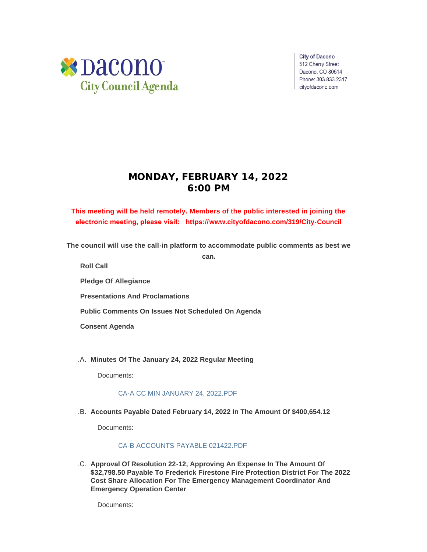

**City of Dacono** 512 Cherry Street Dacono, CO 80514 Phone: 303.833.2317 cityofdacono.com

# **MONDAY, FEBRUARY 14, 2022 6:00 PM**

# **This meeting will be held remotely. Members of the public interested in joining the electronic meeting, please visit: https://[www.cityofdacono.com/319/City-Council](http://www.cityofdacono.com/319/City-Council)**

**The council will use the call-in platform to accommodate public comments as best we** 

**can.**

**Roll Call**

**Pledge Of Allegiance** 

**Presentations And Proclamations**

**Public Comments On Issues Not Scheduled On Agenda**

**Consent Agenda**

**Minutes Of The January 24, 2022 Regular Meeting** .A.

Documents:

# [CA-A CC MIN JANUARY 24, 2022.PDF](https://www.cityofdacono.com/AgendaCenter/ViewFile/Item/1953?fileID=2685)

**Accounts Payable Dated February 14, 2022 In The Amount Of \$400,654.12** .B.

Documents:

# [CA-B ACCOUNTS PAYABLE 021422.PDF](https://www.cityofdacono.com/AgendaCenter/ViewFile/Item/1954?fileID=2686)

**Approval Of Resolution 22-12, Approving An Expense In The Amount Of**  .C. **\$32,798.50 Payable To Frederick Firestone Fire Protection District For The 2022 Cost Share Allocation For The Emergency Management Coordinator And Emergency Operation Center**

Documents: